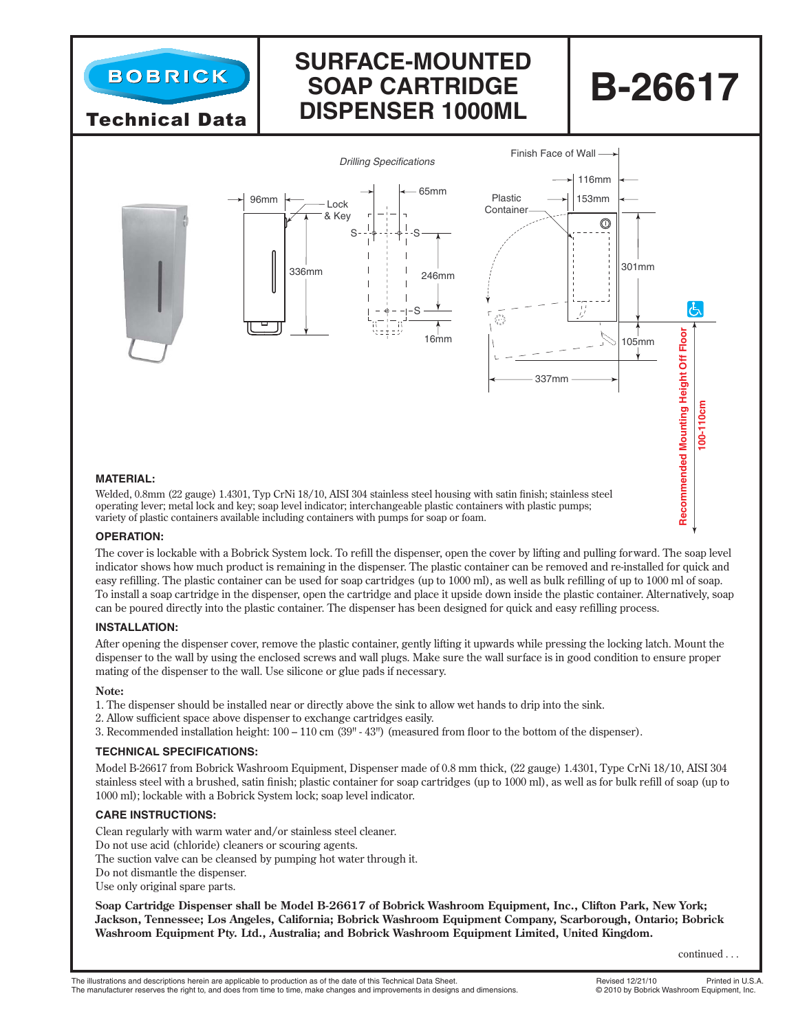

Technical Data

### **Surface-Mounted Soap Cartridge Dispenser 1000ml**

# **B-26617**



Welded, 0.8mm (22 gauge) 1.4301, Typ CrNi 18/10, AISI 304 stainless steel housing with satin finish; stainless steel operating lever; metal lock and key; soap level indicator; interchangeable plastic containers with plastic pumps; variety of plastic containers available including containers with pumps for soap or foam.

#### **OPERATION:**

The cover is lockable with a Bobrick System lock. To refill the dispenser, open the cover by lifting and pulling forward. The soap level indicator shows how much product is remaining in the dispenser. The plastic container can be removed and re-installed for quick and easy refilling. The plastic container can be used for soap cartridges (up to 1000 ml), as well as bulk refilling of up to 1000 ml of soap. To install a soap cartridge in the dispenser, open the cartridge and place it upside down inside the plastic container. Alternatively, soap can be poured directly into the plastic container. The dispenser has been designed for quick and easy refilling process.

#### **INSTALLATION:**

After opening the dispenser cover, remove the plastic container, gently lifting it upwards while pressing the locking latch. Mount the dispenser to the wall by using the enclosed screws and wall plugs. Make sure the wall surface is in good condition to ensure proper mating of the dispenser to the wall. Use silicone or glue pads if necessary.

#### **Note:**

- 1. The dispenser should be installed near or directly above the sink to allow wet hands to drip into the sink.
- 2. Allow sufficient space above dispenser to exchange cartridges easily.
- 3. Recommended installation height: 100 110 cm (39" 43") (measured from floor to the bottom of the dispenser).

#### **TECHNICAL SPECIFICATIONS:**

Model B-26617 from Bobrick Washroom Equipment, Dispenser made of 0.8 mm thick, (22 gauge) 1.4301, Type CrNi 18/10, AISI 304 stainless steel with a brushed, satin finish; plastic container for soap cartridges (up to 1000 ml), as well as for bulk refill of soap (up to 1000 ml); lockable with a Bobrick System lock; soap level indicator.

#### **CARE INSTRUCTIONS:**

Clean regularly with warm water and/or stainless steel cleaner. Do not use acid (chloride) cleaners or scouring agents. The suction valve can be cleansed by pumping hot water through it. Do not dismantle the dispenser. Use only original spare parts.

**Soap Cartridge Dispenser shall be Model B-26617 of Bobrick Washroom Equipment, Inc., Clifton Park, New York; Jackson, Tennessee; Los Angeles, California; Bobrick Washroom Equipment Company, Scarborough, Ontario; Bobrick Washroom Equipment Pty. Ltd., Australia; and Bobrick Washroom Equipment Limited, United Kingdom.**

continued . . .